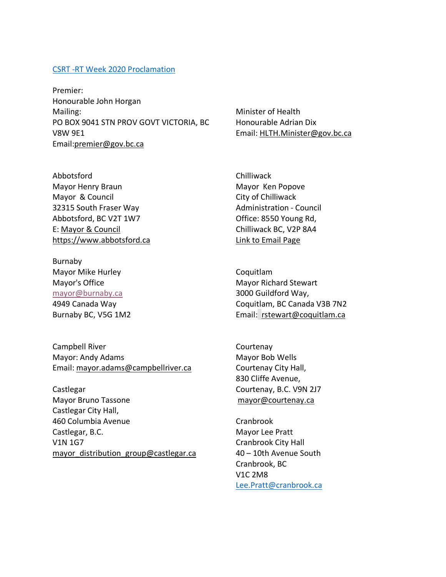## CSRT -RT Week 2020 Proclamation

Premier: Honourable John Horgan Mailing: PO BOX 9041 STN PROV GOVT VICTORIA, BC V8W 9E1 Email:premier@gov.bc.ca

Minister of Health Honourable Adrian Dix Email: HLTH.Minister@gov.bc.ca

Abbotsford Mayor Henry Braun Mayor & Council 32315 South Fraser Way Abbotsford, BC V2T 1W7 E: Mayor & Council https://www.abbotsford.ca

Burnaby Mayor Mike Hurley Mayor's Office mayor@burnaby.ca 4949 Canada Way Burnaby BC, V5G 1M2

Campbell River Mayor: Andy Adams Email: mayor.adams@campbellriver.ca

Castlegar Mayor Bruno Tassone Castlegar City Hall, 460 Columbia Avenue Castlegar, B.C. V1N 1G7 mayor distribution group@castlegar.ca

**Chilliwack** Mayor Ken Popove City of Chilliwack Administration - Council Office: 8550 Young Rd, Chilliwack BC, V2P 8A4 Link to Email Page

Coquitlam Mayor Richard Stewart 3000 Guildford Way, Coquitlam, BC Canada V3B 7N2 Email: rstewart@coquitlam.ca

Courtenay Mayor Bob Wells Courtenay City Hall, 830 Cliffe Avenue, Courtenay, B.C. V9N 2J7 mayor@courtenay.ca

Cranbrook Mayor Lee Pratt Cranbrook City Hall 40 – 10th Avenue South Cranbrook, BC V1C 2M8 Lee.Pratt@cranbrook.ca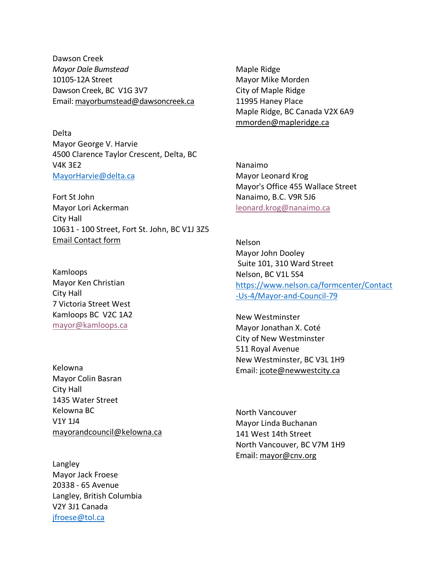Dawson Creek *Mayor Dale Bumstead* 10105-12A Street Dawson Creek, BC V1G 3V7 Email: mayorbumstead@dawsoncreek.ca

Delta Mayor George V. Harvie 4500 Clarence Taylor Crescent, Delta, BC V4K 3E2 MayorHarvie@delta.ca

Fort St John Mayor Lori Ackerman City Hall 10631 - 100 Street, Fort St. John, BC V1J 3Z5 Email Contact form

Kamloops Mayor Ken Christian City Hall 7 Victoria Street West Kamloops BC V2C 1A2 mayor@kamloops.ca

Kelowna Mayor Colin Basran City Hall 1435 Water Street Kelowna BC V1Y 1J4 mayorandcouncil@kelowna.ca

Langley Mayor Jack Froese 20338 - 65 Avenue Langley, British Columbia V2Y 3J1 Canada jfroese@tol.ca

Maple Ridge Mayor Mike Morden City of Maple Ridge 11995 Haney Place Maple Ridge, BC Canada V2X 6A9 mmorden@mapleridge.ca

Nanaimo Mayor Leonard Krog Mayor's Office 455 Wallace Street Nanaimo, B.C. V9R 5J6 leonard.krog@nanaimo.ca

Nelson Mayor John Dooley Suite 101, 310 Ward Street Nelson, BC V1L 5S4 https://www.nelson.ca/formcenter/Contact -Us-4/Mayor-and-Council-79

New Westminster Mayor Jonathan X. Coté City of New Westminster 511 Royal Avenue New Westminster, BC V3L 1H9 Email: jcote@newwestcity.ca

North Vancouver Mayor Linda Buchanan 141 West 14th Street North Vancouver, BC V7M 1H9 Email: mayor@cnv.org